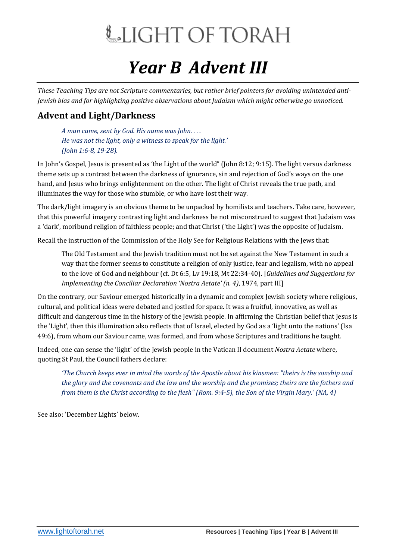# LIGHT OF TORAH

### *Year B Advent III*

*These Teaching Tips are not Scripture commentaries, but rather brief pointers for avoiding unintended anti-Jewish bias and for highlighting positive observations about Judaism which might otherwise go unnoticed.*

#### **Advent and Light/Darkness**

*A man came, sent by God. His name was John. . . . He was not the light, only a witness to speak for the light.' (John 1:6-8, 19-28).*

In John's Gospel, Jesus is presented as 'the Light of the world" (John 8:12; 9:15). The light versus darkness theme sets up a contrast between the darkness of ignorance, sin and rejection of God's ways on the one hand, and Jesus who brings enlightenment on the other. The light of Christ reveals the true path, and illuminates the way for those who stumble, or who have lost their way.

The dark/light imagery is an obvious theme to be unpacked by homilists and teachers. Take care, however, that this powerful imagery contrasting light and darkness be not misconstrued to suggest that Judaism was a 'dark', moribund religion of faithless people; and that Christ ('the Light') was the opposite of Judaism.

Recall the instruction of the Commission of the Holy See for Religious Relations with the Jews that:

The Old Testament and the Jewish tradition must not be set against the New Testament in such a way that the former seems to constitute a religion of only justice, fear and legalism, with no appeal to the love of God and neighbour (cf. Dt 6:5, Lv 19:18, Mt 22:34-40). [*Guidelines and Suggestions for Implementing the Conciliar Declaration 'Nostra Aetate' (n. 4)*, 1974, part III]

On the contrary, our Saviour emerged historically in a dynamic and complex Jewish society where religious, cultural, and political ideas were debated and jostled for space. It was a fruitful, innovative, as well as difficult and dangerous time in the history of the Jewish people. In affirming the Christian belief that Jesus is the 'Light', then this illumination also reflects that of Israel, elected by God as a 'light unto the nations' (Isa 49:6), from whom our Saviour came, was formed, and from whose Scriptures and traditions he taught.

Indeed, one can sense the 'light' of the Jewish people in the Vatican II document *Nostra Aetate* where, quoting St Paul, the Council fathers declare:

*'The Church keeps ever in mind the words of the Apostle about his kinsmen: "theirs is the sonship and the glory and the covenants and the law and the worship and the promises; theirs are the fathers and from them is the Christ according to the flesh" (Rom. 9:4-5), the Son of the Virgin Mary.' (NA, 4)* 

See also: 'December Lights' below.